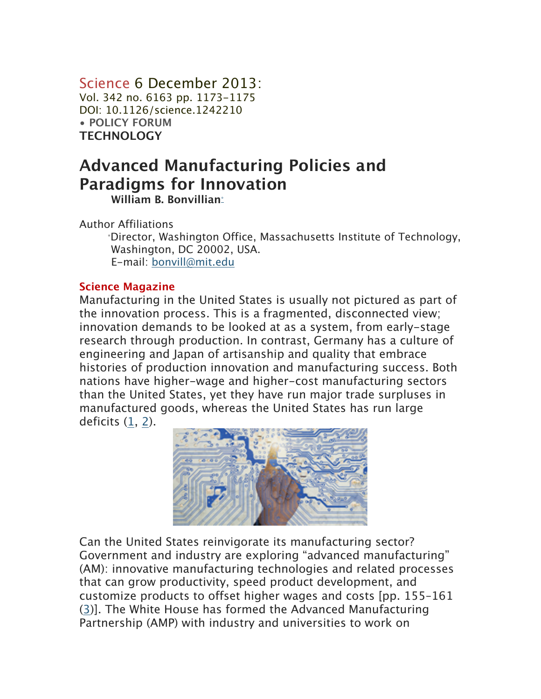# Science 6 December 2013:

Vol. 342 no. 6163 pp. 1173-1175 DOI: 10.1126/science.1242210 • **POLICY FORUM TECHNOLOGY**

# **Advanced Manufacturing Policies and Paradigms for Innovation**

**William B. Bonvillian**\*

Author Affiliations

\*Director, Washington Office, Massachusetts Institute of Technology, Washington, DC 20002, USA. E-mail: bonvill@mit.edu

#### **Science Magazine**

Manufacturing in the United States is usually not pictured as part of the innovation process. This is a fragmented, disconnected view; innovation demands to be looked at as a system, from early-stage research through production. In contrast, Germany has a culture of engineering and Japan of artisanship and quality that embrace histories of production innovation and manufacturing success. Both nations have higher-wage and higher-cost manufacturing sectors than the United States, yet they have run major trade surpluses in manufactured goods, whereas the United States has run large deficits (1, 2).



Can the United States reinvigorate its manufacturing sector? Government and industry are exploring "advanced manufacturing" (AM): innovative manufacturing technologies and related processes that can grow productivity, speed product development, and customize products to offset higher wages and costs [pp. 155–161 (3)]. The White House has formed the Advanced Manufacturing Partnership (AMP) with industry and universities to work on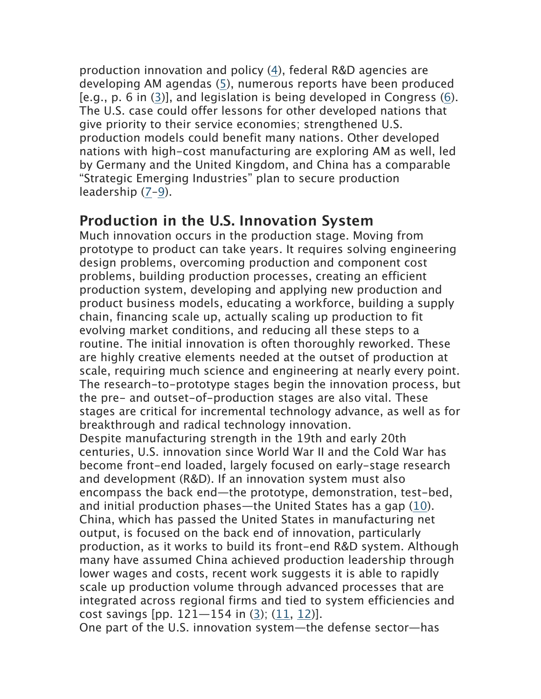production innovation and policy (4), federal R&D agencies are developing AM agendas (5), numerous reports have been produced [e.g., p. 6 in (3)], and legislation is being developed in Congress (6). The U.S. case could offer lessons for other developed nations that give priority to their service economies; strengthened U.S. production models could benefit many nations. Other developed nations with high-cost manufacturing are exploring AM as well, led by Germany and the United Kingdom, and China has a comparable "Strategic Emerging Industries" plan to secure production leadership (7–9).

#### **Production in the U.S. Innovation System**

Much innovation occurs in the production stage. Moving from prototype to product can take years. It requires solving engineering design problems, overcoming production and component cost problems, building production processes, creating an efficient production system, developing and applying new production and product business models, educating a workforce, building a supply chain, financing scale up, actually scaling up production to fit evolving market conditions, and reducing all these steps to a routine. The initial innovation is often thoroughly reworked. These are highly creative elements needed at the outset of production at scale, requiring much science and engineering at nearly every point. The research-to-prototype stages begin the innovation process, but the pre- and outset-of-production stages are also vital. These stages are critical for incremental technology advance, as well as for breakthrough and radical technology innovation.

Despite manufacturing strength in the 19th and early 20th centuries, U.S. innovation since World War II and the Cold War has become front-end loaded, largely focused on early-stage research and development (R&D). If an innovation system must also encompass the back end—the prototype, demonstration, test-bed, and initial production phases—the United States has a gap (10). China, which has passed the United States in manufacturing net output, is focused on the back end of innovation, particularly production, as it works to build its front-end R&D system. Although many have assumed China achieved production leadership through lower wages and costs, recent work suggests it is able to rapidly scale up production volume through advanced processes that are integrated across regional firms and tied to system efficiencies and cost savings [pp.  $121 - 154$  in (3); (11, 12)].

One part of the U.S. innovation system—the defense sector—has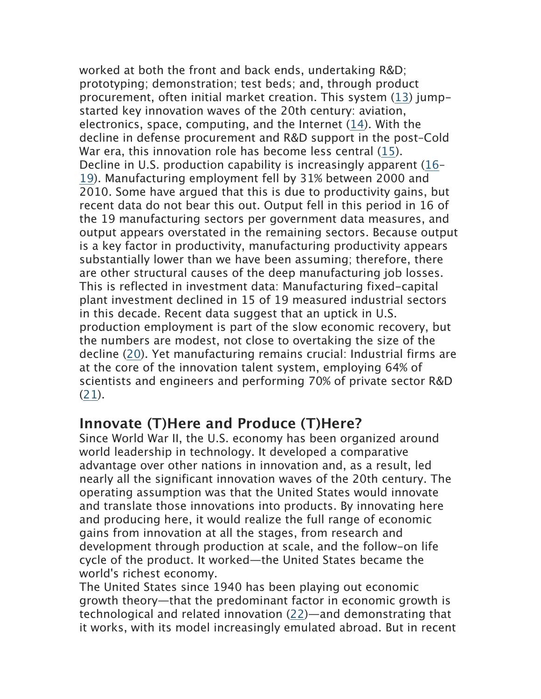worked at both the front and back ends, undertaking R&D; prototyping; demonstration; test beds; and, through product procurement, often initial market creation. This system (13) jumpstarted key innovation waves of the 20th century: aviation, electronics, space, computing, and the Internet (14). With the decline in defense procurement and R&D support in the post–Cold War era, this innovation role has become less central (15). Decline in U.S. production capability is increasingly apparent (16– 19). Manufacturing employment fell by 31% between 2000 and 2010. Some have argued that this is due to productivity gains, but recent data do not bear this out. Output fell in this period in 16 of the 19 manufacturing sectors per government data measures, and output appears overstated in the remaining sectors. Because output is a key factor in productivity, manufacturing productivity appears substantially lower than we have been assuming; therefore, there are other structural causes of the deep manufacturing job losses. This is reflected in investment data: Manufacturing fixed-capital plant investment declined in 15 of 19 measured industrial sectors in this decade. Recent data suggest that an uptick in U.S. production employment is part of the slow economic recovery, but the numbers are modest, not close to overtaking the size of the decline (20). Yet manufacturing remains crucial: Industrial firms are at the core of the innovation talent system, employing 64% of scientists and engineers and performing 70% of private sector R&D  $(21)$ .

### **Innovate (T)Here and Produce (T)Here?**

Since World War II, the U.S. economy has been organized around world leadership in technology. It developed a comparative advantage over other nations in innovation and, as a result, led nearly all the significant innovation waves of the 20th century. The operating assumption was that the United States would innovate and translate those innovations into products. By innovating here and producing here, it would realize the full range of economic gains from innovation at all the stages, from research and development through production at scale, and the follow-on life cycle of the product. It worked—the United States became the world's richest economy.

The United States since 1940 has been playing out economic growth theory—that the predominant factor in economic growth is technological and related innovation (22)—and demonstrating that it works, with its model increasingly emulated abroad. But in recent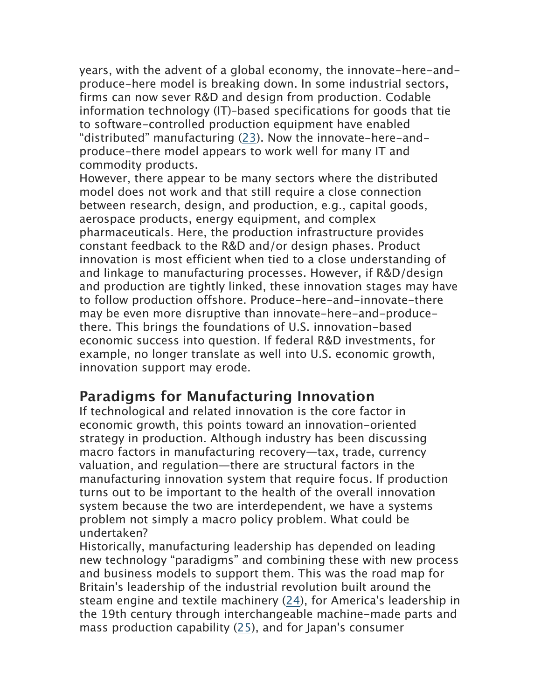years, with the advent of a global economy, the innovate-here-andproduce-here model is breaking down. In some industrial sectors, firms can now sever R&D and design from production. Codable information technology (IT)–based specifications for goods that tie to software-controlled production equipment have enabled "distributed" manufacturing (23). Now the innovate-here-andproduce-there model appears to work well for many IT and commodity products.

However, there appear to be many sectors where the distributed model does not work and that still require a close connection between research, design, and production, e.g., capital goods, aerospace products, energy equipment, and complex pharmaceuticals. Here, the production infrastructure provides constant feedback to the R&D and/or design phases. Product innovation is most efficient when tied to a close understanding of and linkage to manufacturing processes. However, if R&D/design and production are tightly linked, these innovation stages may have to follow production offshore. Produce-here-and-innovate-there may be even more disruptive than innovate-here-and-producethere. This brings the foundations of U.S. innovation-based economic success into question. If federal R&D investments, for example, no longer translate as well into U.S. economic growth, innovation support may erode.

## **Paradigms for Manufacturing Innovation**

If technological and related innovation is the core factor in economic growth, this points toward an innovation-oriented strategy in production. Although industry has been discussing macro factors in manufacturing recovery—tax, trade, currency valuation, and regulation—there are structural factors in the manufacturing innovation system that require focus. If production turns out to be important to the health of the overall innovation system because the two are interdependent, we have a systems problem not simply a macro policy problem. What could be undertaken?

Historically, manufacturing leadership has depended on leading new technology "paradigms" and combining these with new process and business models to support them. This was the road map for Britain's leadership of the industrial revolution built around the steam engine and textile machinery (24), for America's leadership in the 19th century through interchangeable machine-made parts and mass production capability (25), and for Japan's consumer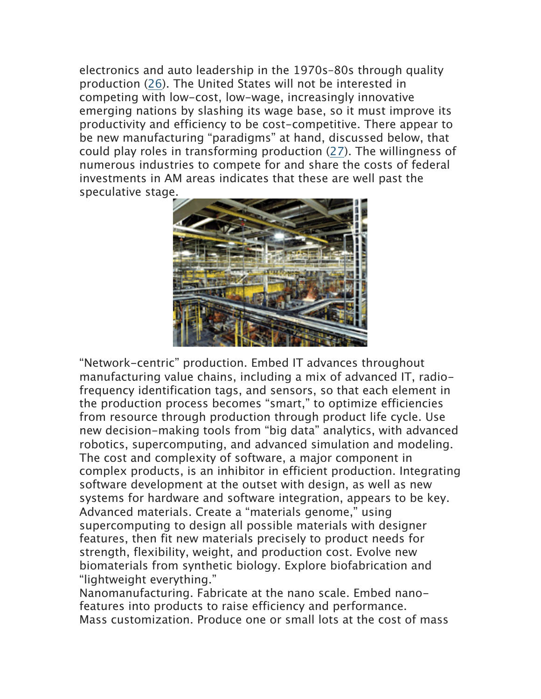electronics and auto leadership in the 1970s–80s through quality production (26). The United States will not be interested in competing with low-cost, low-wage, increasingly innovative emerging nations by slashing its wage base, so it must improve its productivity and efficiency to be cost-competitive. There appear to be new manufacturing "paradigms" at hand, discussed below, that could play roles in transforming production (27). The willingness of numerous industries to compete for and share the costs of federal investments in AM areas indicates that these are well past the speculative stage.



"Network-centric" production. Embed IT advances throughout manufacturing value chains, including a mix of advanced IT, radiofrequency identification tags, and sensors, so that each element in the production process becomes "smart," to optimize efficiencies from resource through production through product life cycle. Use new decision-making tools from "big data" analytics, with advanced robotics, supercomputing, and advanced simulation and modeling. The cost and complexity of software, a major component in complex products, is an inhibitor in efficient production. Integrating software development at the outset with design, as well as new systems for hardware and software integration, appears to be key. Advanced materials. Create a "materials genome," using supercomputing to design all possible materials with designer features, then fit new materials precisely to product needs for strength, flexibility, weight, and production cost. Evolve new biomaterials from synthetic biology. Explore biofabrication and "lightweight everything."

Nanomanufacturing. Fabricate at the nano scale. Embed nanofeatures into products to raise efficiency and performance. Mass customization. Produce one or small lots at the cost of mass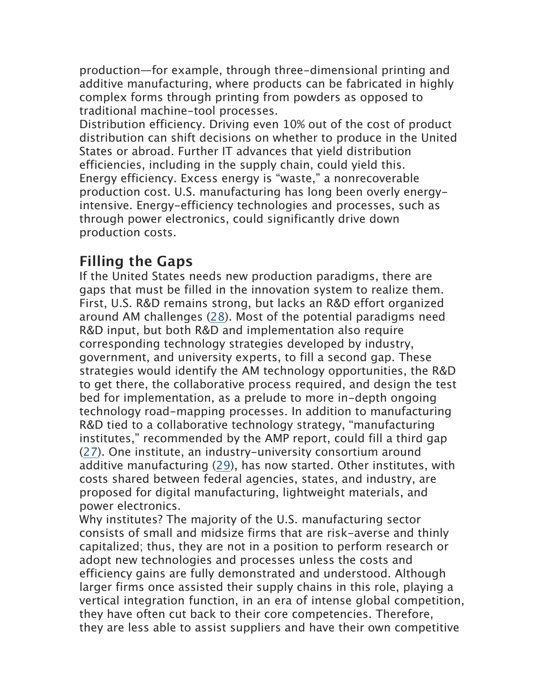production—for example, through three-dimensional printing and additive manufacturing, where products can be fabricated in highly complex forms through printing from powders as opposed to traditional machine-tool processes.

Distribution efficiency. Driving even 10% out of the cost of product distribution can shift decisions on whether to produce in the United States or abroad. Further IT advances that yield distribution efficiencies, including in the supply chain, could yield this. Energy efficiency. Excess energy is "waste," a nonrecoverable production cost. U.S. manufacturing has long been overly energyintensive. Energy-efficiency technologies and processes, such as through power electronics, could significantly drive down production costs.

## **Filling the Gaps**

If the United States needs new production paradigms, there are gaps that must be filled in the innovation system to realize them. First, U.S. R&D remains strong, but lacks an R&D effort organized around AM challenges (28). Most of the potential paradigms need R&D input, but both R&D and implementation also require corresponding technology strategies developed by industry, government, and university experts, to fill a second gap. These strategies would identify the AM technology opportunities, the R&D to get there, the collaborative process required, and design the test bed for implementation, as a prelude to more in-depth ongoing technology road-mapping processes. In addition to manufacturing R&D tied to a collaborative technology strategy, "manufacturing institutes," recommended by the AMP report, could fill a third gap (27). One institute, an industry-university consortium around additive manufacturing (29), has now started. Other institutes, with costs shared between federal agencies, states, and industry, are proposed for digital manufacturing, lightweight materials, and power electronics.

Why institutes? The majority of the U.S. manufacturing sector consists of small and midsize firms that are risk-averse and thinly capitalized; thus, they are not in a position to perform research or adopt new technologies and processes unless the costs and efficiency gains are fully demonstrated and understood. Although larger firms once assisted their supply chains in this role, playing a vertical integration function, in an era of intense global competition, they have often cut back to their core competencies. Therefore, they are less able to assist suppliers and have their own competitive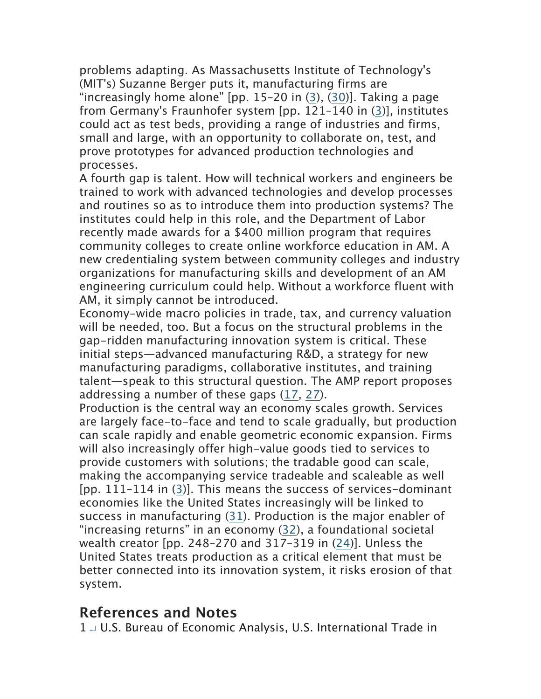problems adapting. As Massachusetts Institute of Technology's (MIT's) Suzanne Berger puts it, manufacturing firms are "increasingly home alone" [pp. 15–20 in (3), (30)]. Taking a page from Germany's Fraunhofer system [pp. 121–140 in (3)], institutes could act as test beds, providing a range of industries and firms, small and large, with an opportunity to collaborate on, test, and prove prototypes for advanced production technologies and processes.

A fourth gap is talent. How will technical workers and engineers be trained to work with advanced technologies and develop processes and routines so as to introduce them into production systems? The institutes could help in this role, and the Department of Labor recently made awards for a \$400 million program that requires community colleges to create online workforce education in AM. A new credentialing system between community colleges and industry organizations for manufacturing skills and development of an AM engineering curriculum could help. Without a workforce fluent with AM, it simply cannot be introduced.

Economy-wide macro policies in trade, tax, and currency valuation will be needed, too. But a focus on the structural problems in the gap-ridden manufacturing innovation system is critical. These initial steps—advanced manufacturing R&D, a strategy for new manufacturing paradigms, collaborative institutes, and training talent—speak to this structural question. The AMP report proposes addressing a number of these gaps (17, 27).

Production is the central way an economy scales growth. Services are largely face-to-face and tend to scale gradually, but production can scale rapidly and enable geometric economic expansion. Firms will also increasingly offer high-value goods tied to services to provide customers with solutions; the tradable good can scale, making the accompanying service tradeable and scaleable as well [pp. 111–114 in (3)]. This means the success of services-dominant economies like the United States increasingly will be linked to success in manufacturing (31). Production is the major enabler of "increasing returns" in an economy (32), a foundational societal wealth creator [pp. 248–270 and 317–319 in (24)]. Unless the United States treats production as a critical element that must be better connected into its innovation system, it risks erosion of that system.

### **References and Notes**

1 ↵ U.S. Bureau of Economic Analysis, U.S. International Trade in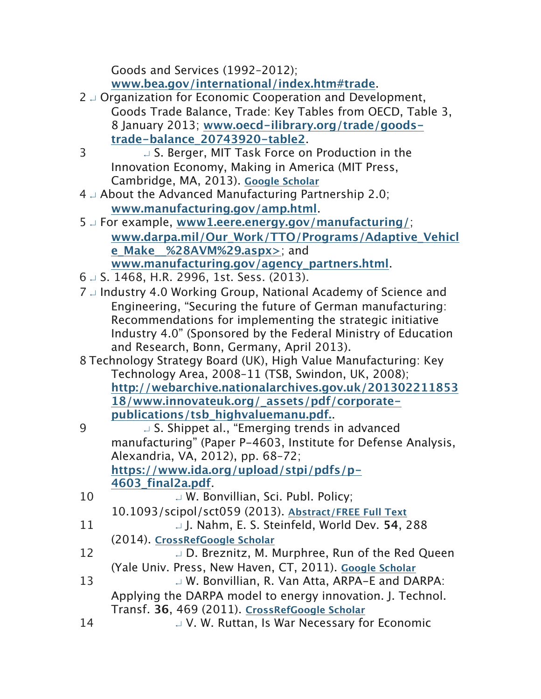Goods and Services (1992–2012); **www.bea.gov/international/index.htm#trade**.

- 2 ↵ Organization for Economic Cooperation and Development, Goods Trade Balance, Trade: Key Tables from OECD, Table 3, 8 January 2013; **www.oecd-ilibrary.org/trade/goodstrade-balance\_20743920-table2**.
- 3 ↵ S. Berger, MIT Task Force on Production in the Innovation Economy, Making in America (MIT Press, Cambridge, MA, 2013). **Google Scholar**
- $4 \cup$  About the Advanced Manufacturing Partnership 2.0; **www.manufacturing.gov/amp.html**.
- 5 ↵ For example, **www1.eere.energy.gov/manufacturing/**; **www.darpa.mil/Our\_Work/TTO/Programs/Adaptive\_Vehicl e\_Make\_\_%28AVM%29.aspx>**; and **www.manufacturing.gov/agency\_partners.html**.
- $6 \cup S$ . 1468, H.R. 2996, 1st. Sess. (2013).
- 7 ⊥ Industry 4.0 Working Group, National Academy of Science and Engineering, "Securing the future of German manufacturing: Recommendations for implementing the strategic initiative Industry 4.0" (Sponsored by the Federal Ministry of Education and Research, Bonn, Germany, April 2013).
- 8 Technology Strategy Board (UK), High Value Manufacturing: Key Technology Area, 2008–11 (TSB, Swindon, UK, 2008); **http://webarchive.nationalarchives.gov.uk/201302211853 18/www.innovateuk.org/\_assets/pdf/corporatepublications/tsb\_highvaluemanu.pdf.**.
- $9 \tJ$  S. Shippet al., "Emerging trends in advanced manufacturing" (Paper P-4603, Institute for Defense Analysis, Alexandria, VA, 2012), pp. 68–72; **https://www.ida.org/upload/stpi/pdfs/p-4603\_final2a.pdf**.
- 10 ↵ W. Bonvillian, Sci. Publ. Policy; 10.1093/scipol/sct059 (2013). **Abstract/FREE Full Text** 11 ↵ J. Nahm, E. S. Steinfeld, World Dev. **54**, 288 (2014). **CrossRefGoogle Scholar** 12 **D. Breznitz, M. Murphree, Run of the Red Queen** (Yale Univ. Press, New Haven, CT, 2011). **Google Scholar** 13 ↵ W. Bonvillian, R. Van Atta, ARPA-E and DARPA: Applying the DARPA model to energy innovation. J. Technol. Transf. **36**, 469 (2011). **CrossRefGoogle Scholar** 14 **14 Property A. W. Ruttan, Is War Necessary for Economic**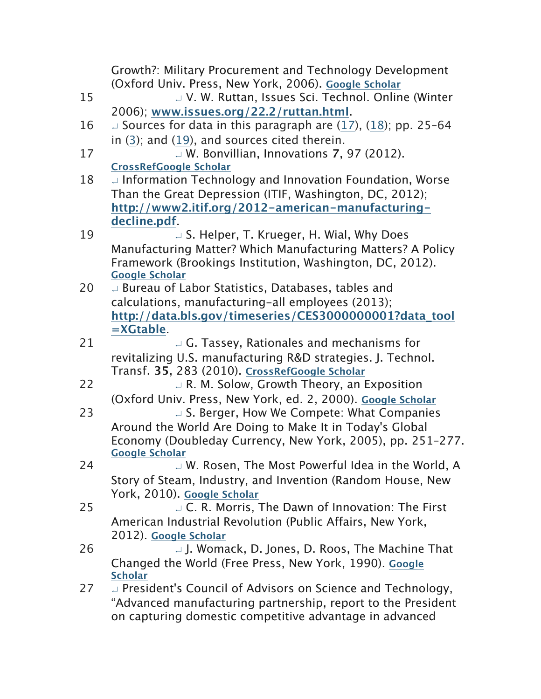|    | Growth?: Military Procurement and Technology Development            |
|----|---------------------------------------------------------------------|
|    | (Oxford Univ. Press, New York, 2006). Google Scholar                |
| 15 | J V. W. Ruttan, Issues Sci. Technol. Online (Winter                 |
|    | 2006); www.issues.org/22.2/ruttan.html.                             |
| 16 | $\Box$ Sources for data in this paragraph are (17), (18); pp. 25-64 |
|    | in $(3)$ ; and $(19)$ , and sources cited therein.                  |
| 17 | $\cup$ W. Bonvillian, Innovations 7, 97 (2012).                     |
|    | <b>CrossRefGoogle Scholar</b>                                       |
| 18 | $\Box$ Information Technology and Innovation Foundation, Worse      |
|    | Than the Great Depression (ITIF, Washington, DC, 2012);             |
|    | http://www2.itif.org/2012-american-manufacturing-                   |
|    | decline.pdf.                                                        |
| 19 | □ S. Helper, T. Krueger, H. Wial, Why Does                          |
|    | Manufacturing Matter? Which Manufacturing Matters? A Policy         |
|    | Framework (Brookings Institution, Washington, DC, 2012).            |
|    | <b>Google Scholar</b>                                               |
| 20 | □ Bureau of Labor Statistics, Databases, tables and                 |
|    | calculations, manufacturing-all employees (2013);                   |
|    | http://data.bls.gov/timeseries/CES3000000001?data_tool              |
|    | $=$ $XGtable.$                                                      |
| 21 | $\cup$ G. Tassey, Rationales and mechanisms for                     |
|    | revitalizing U.S. manufacturing R&D strategies. J. Technol.         |
|    | Transf. 35, 283 (2010). CrossRefGoogle Scholar                      |
| 22 | $\cup$ R. M. Solow, Growth Theory, an Exposition                    |
|    | (Oxford Univ. Press, New York, ed. 2, 2000). Google Scholar         |
| 23 | □ S. Berger, How We Compete: What Companies                         |
|    | Around the World Are Doing to Make It in Today's Global             |
|    | Economy (Doubleday Currency, New York, 2005), pp. 251-277.          |
|    | Google Scholar                                                      |
| 24 | J W. Rosen, The Most Powerful Idea in the World, A                  |
|    | Story of Steam, Industry, and Invention (Random House, New          |
|    | York, 2010). Google Scholar                                         |
| 25 | □ C. R. Morris, The Dawn of Innovation: The First                   |
|    | American Industrial Revolution (Public Affairs, New York,           |
|    | 2012). Google Scholar                                               |
| 26 | J. Womack, D. Jones, D. Roos, The Machine That                      |
|    | Changed the World (Free Press, New York, 1990). Google              |
|    | <b>Scholar</b>                                                      |
| 27 | $\Box$ President's Council of Advisors on Science and Technology,   |
|    | "Advanced manufacturing partnership, report to the President        |

on capturing domestic competitive advantage in advanced